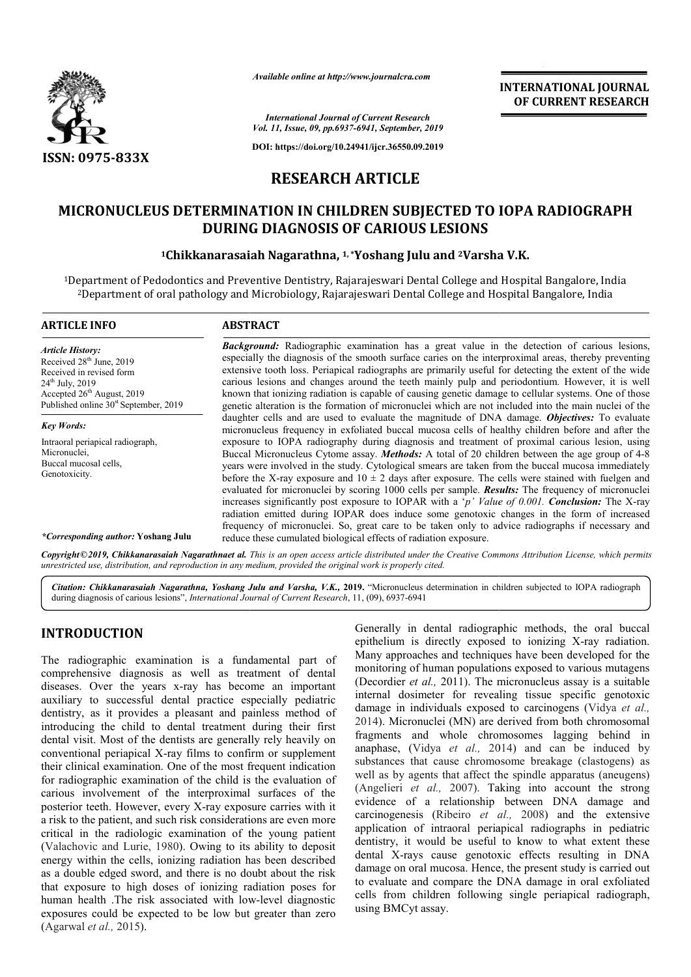

*Available online at http://www.journalcra.com*

*International Journal of Current Research Vol. 11, Issue, 09, pp.6937-6941, September, 2019*

**DOI: https://doi.org/10.24941/ijcr.36550.09.2019**

## **RESEARCH ARTICLE**

# MICRONUCLEUS DETERMINATION IN CHILDREN SUBJECTED TO IOPA RADIOGRAPH<br>DURING DIAGNOSIS OF CARIOUS LESIONS<br><sup>1</sup>Chikkanarasaiah Nagarathna, <sup>1,</sup>\*Yoshang Julu and <sup>2</sup>Varsha V.K. **DURING DIAGNOSIS OF CARIOUS LESIONS**

## **1Chikkanarasaiah Nagarathna, Chikkanarasaiah 1, \*Yoshang Julu and 2Varsha V.K**

1Department of Pedodontics and Preventive Dentistry, Rajarajeswari Dental College and Hospital Bangalore, India Department of Pedodontics and Preventive Dentistry, Rajarajeswari Dental College and Hospital Bangalore, India<br><sup>2</sup>Department of oral pathology and Microbiology, Rajarajeswari Dental College and Hospital Bangalore, India

| <b>ARTICLE INFO</b>                                                                                                                                                                                      | <b>ABSTRACT</b>                                                                                                                                                                                                                                                                                                                                                                                                                                                                                                                                                                                                                                                                                                                                                                                                                               |  |  |  |
|----------------------------------------------------------------------------------------------------------------------------------------------------------------------------------------------------------|-----------------------------------------------------------------------------------------------------------------------------------------------------------------------------------------------------------------------------------------------------------------------------------------------------------------------------------------------------------------------------------------------------------------------------------------------------------------------------------------------------------------------------------------------------------------------------------------------------------------------------------------------------------------------------------------------------------------------------------------------------------------------------------------------------------------------------------------------|--|--|--|
| <b>Article History:</b><br>Received 28 <sup>th</sup> June, 2019<br>Received in revised form<br>$24^{th}$ July, 2019<br>Accepted $26th$ August, 2019<br>Published online 30 <sup>st</sup> September, 2019 | <b>Background:</b> Radiographic examination has a great value in the detection of carious lesions,<br>especially the diagnosis of the smooth surface caries on the interproximal areas, thereby preventing<br>extensive tooth loss. Periapical radiographs are primarily useful for detecting the extent of the wide<br>carious lesions and changes around the teeth mainly pulp and periodontium. However, it is well<br>known that ionizing radiation is capable of causing genetic damage to cellular systems. One of those<br>genetic alteration is the formation of micronuclei which are not included into the main nuclei of the                                                                                                                                                                                                       |  |  |  |
| <b>Key Words:</b>                                                                                                                                                                                        | daughter cells and are used to evaluate the magnitude of DNA damage. <i>Objectives</i> : To evaluate<br>micronucleus frequency in exfoliated buccal mucosa cells of healthy children before and after the                                                                                                                                                                                                                                                                                                                                                                                                                                                                                                                                                                                                                                     |  |  |  |
| Intraoral periapical radiograph,<br>Micronuclei,<br>Buccal mucosal cells,<br>Genotoxicity.                                                                                                               | exposure to IOPA radiography during diagnosis and treatment of proximal carious lesion, using<br>Buccal Micronucleus Cytome assay. <i>Methods</i> : A total of 20 children between the age group of 4-8<br>years were involved in the study. Cytological smears are taken from the buccal mucosa immediately<br>before the X-ray exposure and $10 \pm 2$ days after exposure. The cells were stained with fuelgen and<br>evaluated for micronuclei by scoring 1000 cells per sample. <b>Results:</b> The frequency of micronuclei<br>increases significantly post exposure to IOPAR with a 'p' Value of 0.001. <b>Conclusion:</b> The X-ray<br>radiation emitted during IOPAR does induce some genotoxic changes in the form of increased<br>frequency of micronuclei. So, great care to be taken only to advice radiographs if necessary and |  |  |  |
| <i>*Corresponding author:</i> Yoshang Julu                                                                                                                                                               | reduce these cumulated biological effects of radiation exposure.<br>$\alpha$ , the same $\alpha$ and $\alpha$ and $\alpha$ and $\alpha$ and $\alpha$ and $\alpha$ and $\alpha$ and $\alpha$ and $\alpha$ and $\alpha$ and $\alpha$ and $\alpha$ and $\alpha$ and $\alpha$ and $\alpha$ and $\alpha$ and $\alpha$ and $\alpha$ and $\alpha$ and $\alpha$ and $\alpha$ and $\alpha$ and $\alpha$ an                                                                                                                                                                                                                                                                                                                                                                                                                                             |  |  |  |

Copyright©2019, Chikkanarasaiah Nagarathnaet al. This is an open access article distributed under the Creative Commons Attribution License, which permits *unrestricted use, distribution, and reproduction in any medium, provided the original work is properly cited.*

Citation: Chikkanarasaiah Nagarathna, Yoshang Julu and Varsha, V.K., 2019. "Micronucleus determination in children subjected to IOPA radiograph during diagnosis of carious lesions", *International Journal of Current Research* , 11, (09), 6937-6941

## **INTRODUCTION**

The radiographic examination is a fundamental part of comprehensive diagnosis as well as treatment of dental diseases. Over the years x-ray has become an important auxiliary to successful dental practice especially pediatric dentistry, as it provides a pleasant and painless method of introducing the child to dental treatment during their first dental visit. Most of the dentists are generally rely heavily on conventional periapical X-ray films to confirm or supplement their clinical examination. One of the most frequent indication for radiographic examination of the child is the evaluation of carious involvement of the interproximal surfaces of the posterior teeth. However, every X-ray exposure carries with it a risk to the patient, and such risk considerations are even more critical in the radiologic examination of the young patient (Valachovic and Lurie, 1980). Owing to its ability to deposit energy within the cells, ionizing radiation has been described as a double edged sword, and there is no doubt about the risk that exposure to high doses of ionizing radiation poses for human health .The risk associated with low-level diagnostic exposures could be expected to be low but greater than zero (Agarwal *et al.,* 2015). The same that all practice especially pediatric<br>a pleasant and painless method of<br>dental treatment during their first<br>dentists are generally rely heavily on<br>X-ray films to confirm or supplement<br>. One of the most frequent i Generally in dental radiographic methods, the oral buccal Generally in dental radiographic methods, the oral buccal epithelium is directly exposed to ionizing X-ray radiation. Many approaches and techniques have been developed for the monitoring of human populations exposed to various mutagens Many approaches and techniques have been developed for the monitoring of human populations exposed to various mutagens (Decordier *et al.*, 2011). The micronucleus assay is a suitable internal dosimeter for revealing tissue specific genotoxic internal dosimeter for revealing tissue specific genotoxic damage in individuals exposed to carcinogens (Vidya *et al.*, 2014). Micronuclei (MN) are derived from both chromosomal fragments and whole chromosomes lagging behind in fragments and whole chromosomes lagging behind in anaphase, (Vidya *et al.*, 2014) and can be induced by substances that cause chromosome breakage (clastogens) as well as by agents that affect the spindle apparatus (aneugens) (Angelieri *et al.,* 2007). Taking into account the strong evidence of a relationship between DNA damage and carcinogenesis (Ribeiro *et al.,*  2008) and the extensive application of intraoral periapical radiographs in pediatric dentistry, it would be useful to know to what extent these application of intraoral periapical radiographs in pediatric dentistry, it would be useful to know to what extent these dental X-rays cause genotoxic effects resulting in DNA damage on oral mucosa. Hence, the present study is carried out to evaluate and compare the DNA damage in oral exfoliated cells from children following single periapical radiograph, using BMCyt assay. that cause chromosome breakage (clastogens) as<br>agents that affect the spindle apparatus (aneugens)<br> $et$   $al., 2007$ ). Taking into account the strong<br>of a relationship between DNA damage and Lemannia and the state of the state of the state of the control of the children following and children following sin (*m*). With a realisation of the control of the control of the state of the state of the state of the st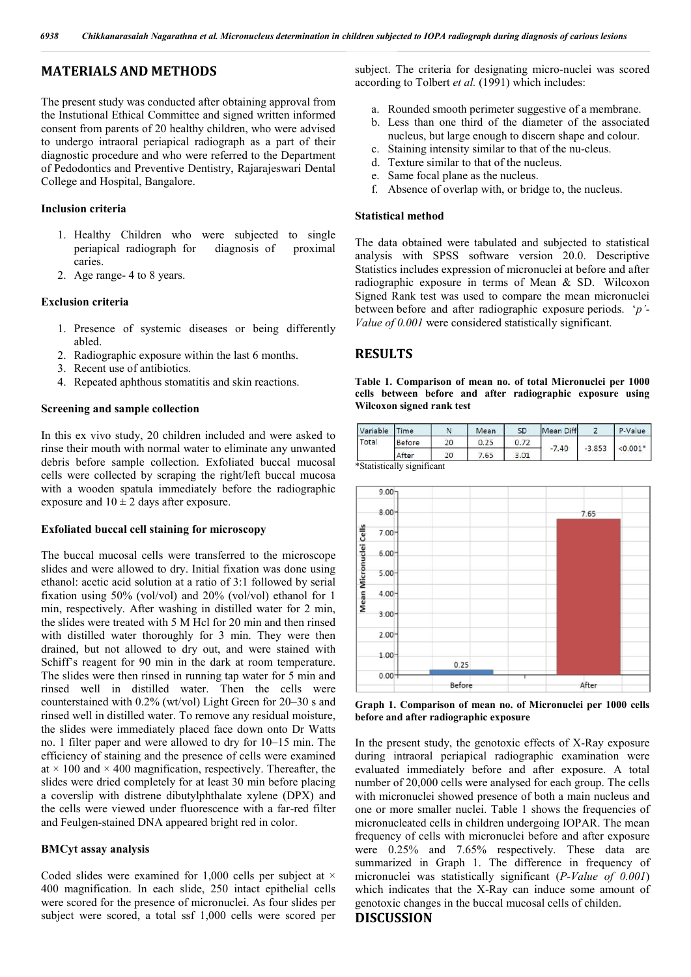## **MATERIALS AND METHODS**

The present study was conducted after obtaining approval from the Instutional Ethical Committee and signed written informed consent from parents of 20 healthy children, who were advised to undergo intraoral periapical radiograph as a part of their diagnostic procedure and who were referred to the Department of Pedodontics and Preventive Dentistry, Rajarajeswari Dental College and Hospital, Bangalore.

## **Inclusion criteria**

- 1. Healthy Children who were subjected to single periapical radiograph for diagnosis of proximal caries.
- 2. Age range- 4 to 8 years.

#### **Exclusion criteria**

- 1. Presence of systemic diseases or being differently abled.
- 2. Radiographic exposure within the last 6 months.
- 3. Recent use of antibiotics.
- 4. Repeated aphthous stomatitis and skin reactions.

#### **Screening and sample collection**

In this ex vivo study, 20 children included and were asked to rinse their mouth with normal water to eliminate any unwanted debris before sample collection. Exfoliated buccal mucosal cells were collected by scraping the right/left buccal mucosa with a wooden spatula immediately before the radiographic exposure and  $10 \pm 2$  days after exposure.

#### **Exfoliated buccal cell staining for microscopy**

The buccal mucosal cells were transferred to the microscope slides and were allowed to dry. Initial fixation was done using ethanol: acetic acid solution at a ratio of 3:1 followed by serial fixation using 50% (vol/vol) and 20% (vol/vol) ethanol for 1 min, respectively. After washing in distilled water for 2 min, the slides were treated with 5 M Hcl for 20 min and then rinsed with distilled water thoroughly for 3 min. They were then drained, but not allowed to dry out, and were stained with Schiff's reagent for 90 min in the dark at room temperature. The slides were then rinsed in running tap water for 5 min and rinsed well in distilled water. Then the cells were counterstained with 0.2% (wt/vol) Light Green for 20–30 s and rinsed well in distilled water. To remove any residual moisture, the slides were immediately placed face down onto Dr Watts no. 1 filter paper and were allowed to dry for 10–15 min. The efficiency of staining and the presence of cells were examined at  $\times$  100 and  $\times$  400 magnification, respectively. Thereafter, the slides were dried completely for at least 30 min before placing a coverslip with distrene dibutylphthalate xylene (DPX) and the cells were viewed under fluorescence with a far-red filter and Feulgen-stained DNA appeared bright red in color.

#### **BMCyt assay analysis**

Coded slides were examined for 1,000 cells per subject at  $\times$ 400 magnification. In each slide, 250 intact epithelial cells were scored for the presence of micronuclei. As four slides per subject were scored, a total ssf 1,000 cells were scored per subject. The criteria for designating micro-nuclei was scored according to Tolbert *et al.* (1991) which includes:

- a. Rounded smooth perimeter suggestive of a membrane.
- b. Less than one third of the diameter of the associated nucleus, but large enough to discern shape and colour.
- c. Staining intensity similar to that of the nu-cleus.
- d. Texture similar to that of the nucleus.
- e. Same focal plane as the nucleus.
- f. Absence of overlap with, or bridge to, the nucleus.

#### **Statistical method**

The data obtained were tabulated and subjected to statistical analysis with SPSS software version 20.0. Descriptive Statistics includes expression of micronuclei at before and after radiographic exposure in terms of Mean & SD. Wilcoxon Signed Rank test was used to compare the mean micronuclei between before and after radiographic exposure periods. '*p'- Value of 0.001* were considered statistically significant.

#### **RESULTS**

**Table 1. Comparison of mean no. of total Micronuclei per 1000 cells between before and after radiographic exposure using Wilcoxon signed rank test**

| Variable Time |               | Ν  | Mean | SD   | Mean Diff |          | P-Value                |
|---------------|---------------|----|------|------|-----------|----------|------------------------|
| Total         | <b>Before</b> | 20 | 0.25 | 0.72 | $-7.40$   | $-3.853$ | $< 0.001$ <sup>*</sup> |
|               | After         | 20 | 7.65 | 3.01 |           |          |                        |





**Graph 1. Comparison of mean no. of Micronuclei per 1000 cells before and after radiographic exposure**

In the present study, the genotoxic effects of X-Ray exposure during intraoral periapical radiographic examination were evaluated immediately before and after exposure. A total number of 20,000 cells were analysed for each group. The cells with micronuclei showed presence of both a main nucleus and one or more smaller nuclei. Table 1 shows the frequencies of micronucleated cells in children undergoing IOPAR. The mean frequency of cells with micronuclei before and after exposure were 0.25% and 7.65% respectively. These data are summarized in Graph 1. The difference in frequency of micronuclei was statistically significant (*P-Value of 0.001*) which indicates that the X-Ray can induce some amount of genotoxic changes in the buccal mucosal cells of childen.

#### **DISCUSSION**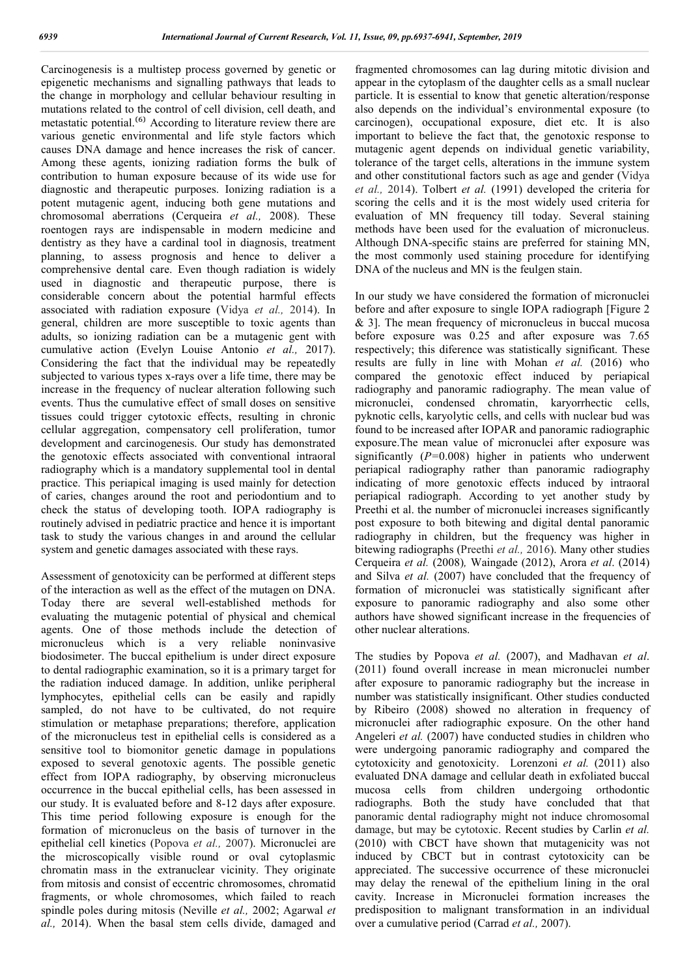Carcinogenesis is a multistep process governed by genetic or epigenetic mechanisms and signalling pathways that leads to the change in morphology and cellular behaviour resulting in mutations related to the control of cell division, cell death, and metastatic potential.<sup> $(6)$ </sup> According to literature review there are various genetic environmental and life style factors which causes DNA damage and hence increases the risk of cancer. Among these agents, ionizing radiation forms the bulk of contribution to human exposure because of its wide use for diagnostic and therapeutic purposes. Ionizing radiation is a potent mutagenic agent, inducing both gene mutations and chromosomal aberrations (Cerqueira *et al.,* 2008). These roentogen rays are indispensable in modern medicine and dentistry as they have a cardinal tool in diagnosis, treatment planning, to assess prognosis and hence to deliver a comprehensive dental care. Even though radiation is widely used in diagnostic and therapeutic purpose, there is considerable concern about the potential harmful effects associated with radiation exposure (Vidya *et al.,* 2014). In general, children are more susceptible to toxic agents than adults, so ionizing radiation can be a mutagenic gent with cumulative action (Evelyn Louise Antonio *et al.,* 2017). Considering the fact that the individual may be repeatedly subjected to various types x-rays over a life time, there may be increase in the frequency of nuclear alteration following such events. Thus the cumulative effect of small doses on sensitive tissues could trigger cytotoxic effects, resulting in chronic cellular aggregation, compensatory cell proliferation, tumor development and carcinogenesis. Our study has demonstrated the genotoxic effects associated with conventional intraoral radiography which is a mandatory supplemental tool in dental practice. This periapical imaging is used mainly for detection of caries, changes around the root and periodontium and to check the status of developing tooth. IOPA radiography is routinely advised in pediatric practice and hence it is important task to study the various changes in and around the cellular system and genetic damages associated with these rays.

Assessment of genotoxicity can be performed at different steps of the interaction as well as the effect of the mutagen on DNA. Today there are several well-established methods for evaluating the mutagenic potential of physical and chemical agents. One of those methods include the detection of micronucleus which is a very reliable noninvasive biodosimeter. The buccal epithelium is under direct exposure to dental radiographic examination, so it is a primary target for the radiation induced damage. In addition, unlike peripheral lymphocytes, epithelial cells can be easily and rapidly sampled, do not have to be cultivated, do not require stimulation or metaphase preparations; therefore, application of the micronucleus test in epithelial cells is considered as a sensitive tool to biomonitor genetic damage in populations exposed to several genotoxic agents. The possible genetic effect from IOPA radiography, by observing micronucleus occurrence in the buccal epithelial cells, has been assessed in our study. It is evaluated before and 8-12 days after exposure. This time period following exposure is enough for the formation of micronucleus on the basis of turnover in the epithelial cell kinetics (Popova *et al.,* 2007). Micronuclei are the microscopically visible round or oval cytoplasmic chromatin mass in the extranuclear vicinity. They originate from mitosis and consist of eccentric chromosomes, chromatid fragments, or whole chromosomes, which failed to reach spindle poles during mitosis (Neville *et al.,* 2002; Agarwal *et al.,* 2014). When the basal stem cells divide, damaged and

fragmented chromosomes can lag during mitotic division and appear in the cytoplasm of the daughter cells as a small nuclear particle. It is essential to know that genetic alteration/response also depends on the individual's environmental exposure (to carcinogen), occupational exposure, diet etc. It is also important to believe the fact that, the genotoxic response to mutagenic agent depends on individual genetic variability, tolerance of the target cells, alterations in the immune system and other constitutional factors such as age and gender (Vidya *et al.,* 2014). Tolbert *et al.* (1991) developed the criteria for scoring the cells and it is the most widely used criteria for evaluation of MN frequency till today. Several staining methods have been used for the evaluation of micronucleus. Although DNA-specific stains are preferred for staining MN, the most commonly used staining procedure for identifying DNA of the nucleus and MN is the feulgen stain.

In our study we have considered the formation of micronuclei before and after exposure to single IOPA radiograph [Figure 2 & 3]. The mean frequency of micronucleus in buccal mucosa before exposure was 0.25 and after exposure was 7.65 respectively; this diference was statistically significant. These results are fully in line with Mohan *et al.* (2016) who compared the genotoxic effect induced by periapical radiography and panoramic radiography. The mean value of micronuclei, condensed chromatin, karyorrhectic cells, pyknotic cells, karyolytic cells, and cells with nuclear bud was found to be increased after IOPAR and panoramic radiographic exposure.The mean value of micronuclei after exposure was significantly (*P=*0.008) higher in patients who underwent periapical radiography rather than panoramic radiography indicating of more genotoxic effects induced by intraoral periapical radiograph. According to yet another study by Preethi et al. the number of micronuclei increases significantly post exposure to both bitewing and digital dental panoramic radiography in children, but the frequency was higher in bitewing radiographs (Preethi *et al.,* 2016). Many other studies Cerqueira *et al.* (2008)*,* Waingade (2012), Arora *et al*. (2014) and Silva *et al.* (2007) have concluded that the frequency of formation of micronuclei was statistically significant after exposure to panoramic radiography and also some other authors have showed significant increase in the frequencies of other nuclear alterations.

The studies by Popova *et al.* (2007), and Madhavan *et al*. (2011) found overall increase in mean micronuclei number after exposure to panoramic radiography but the increase in number was statistically insignificant. Other studies conducted by Ribeiro (2008) showed no alteration in frequency of micronuclei after radiographic exposure. On the other hand Angeleri *et al.* (2007) have conducted studies in children who were undergoing panoramic radiography and compared the cytotoxicity and genotoxicity. Lorenzoni *et al.* (2011) also evaluated DNA damage and cellular death in exfoliated buccal mucosa cells from children undergoing orthodontic radiographs. Both the study have concluded that that panoramic dental radiography might not induce chromosomal damage, but may be cytotoxic. Recent studies by Carlin *et al.*  (2010) with CBCT have shown that mutagenicity was not induced by CBCT but in contrast cytotoxicity can be appreciated. The successive occurrence of these micronuclei may delay the renewal of the epithelium lining in the oral cavity. Increase in Micronuclei formation increases the predisposition to malignant transformation in an individual over a cumulative period (Carrad *et al.,* 2007).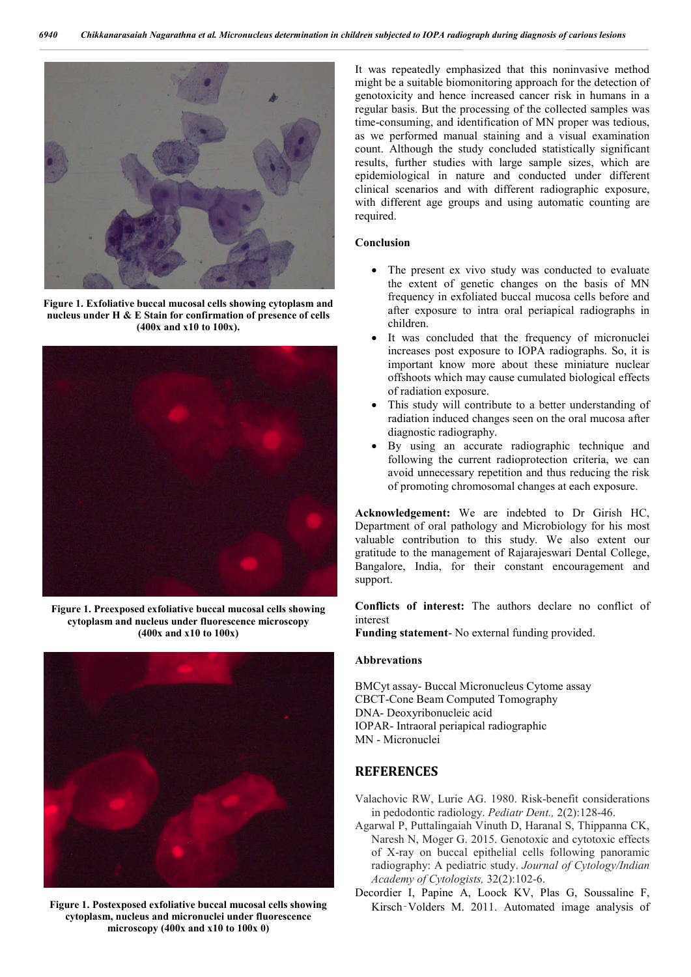

**Figure 1. Exfoliative buccal mucosal cells showing cytoplasm and nucleus under H & E Stain for confirmation of presence of cells (400x and x10 to 100x).**



**Figure 1. Preexposed exfoliative buccal mucosal cells showing cytoplasm and nucleus under fluorescence microscopy (400x and x10 to 100x)**



**Figure 1. Postexposed exfoliative buccal mucosal cells showing cytoplasm, nucleus and micronuclei under fluorescence microscopy (400x and x10 to 100x 0)**

It was repeatedly emphasized that this noninvasive method might be a suitable biomonitoring approach for the detection of genotoxicity and hence increased cancer risk in humans in a regular basis. But the processing of the collected samples was time-consuming, and identification of MN proper was tedious, as we performed manual staining and a visual examination count. Although the study concluded statistically significant results, further studies with large sample sizes, which are epidemiological in nature and conducted under different clinical scenarios and with different radiographic exposure, with different age groups and using automatic counting are required.

## **Conclusion**

- The present ex vivo study was conducted to evaluate the extent of genetic changes on the basis of MN frequency in exfoliated buccal mucosa cells before and after exposure to intra oral periapical radiographs in children.
- It was concluded that the frequency of micronuclei increases post exposure to IOPA radiographs. So, it is important know more about these miniature nuclear offshoots which may cause cumulated biological effects of radiation exposure.
- This study will contribute to a better understanding of radiation induced changes seen on the oral mucosa after diagnostic radiography.
- By using an accurate radiographic technique and following the current radioprotection criteria, we can avoid unnecessary repetition and thus reducing the risk of promoting chromosomal changes at each exposure.

**Acknowledgement:** We are indebted to Dr Girish HC, Department of oral pathology and Microbiology for his most valuable contribution to this study. We also extent our gratitude to the management of Rajarajeswari Dental College, Bangalore, India, for their constant encouragement and support.

**Conflicts of interest:** The authors declare no conflict of interest

**Funding statement**- No external funding provided.

#### **Abbrevations**

BMCyt assay- Buccal Micronucleus Cytome assay CBCT-Cone Beam Computed Tomography DNA- Deoxyribonucleic acid IOPAR- Intraoral periapical radiographic MN - Micronuclei

## **REFERENCES**

- Valachovic RW, Lurie AG. 1980. Risk-benefit considerations in pedodontic radiology. *Pediatr Dent.,* 2(2):128-46.
- Agarwal P, Puttalingaiah Vinuth D, Haranal S, Thippanna CK, Naresh N, Moger G. 2015. Genotoxic and cytotoxic effects of X-ray on buccal epithelial cells following panoramic radiography: A pediatric study. *Journal of Cytology/Indian Academy of Cytologists,* 32(2):102-6.
- Decordier I, Papine A, Loock KV, Plas G, Soussaline F, Kirsch‑Volders M. 2011. Automated image analysis of